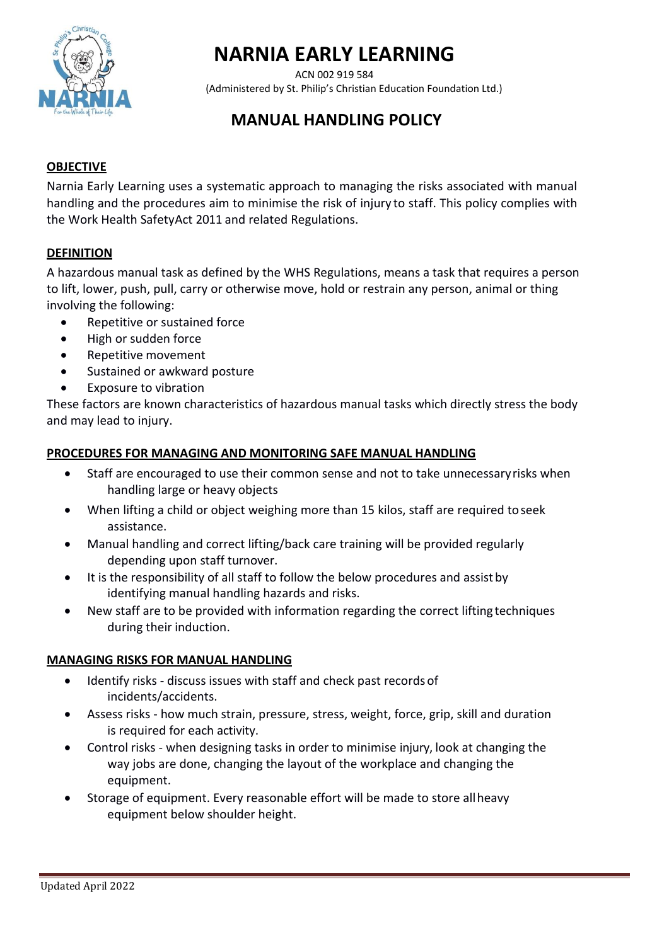

# **NARNIA EARLY LEARNING**

ACN 002 919 584 (Administered by St. Philip's Christian Education Foundation Ltd.)

# **MANUAL HANDLING POLICY**

## **OBJECTIVE**

Narnia Early Learning uses a systematic approach to managing the risks associated with manual handling and the procedures aim to minimise the risk of injury to staff. This policy complies with the Work Health SafetyAct 2011 and related Regulations.

#### **DEFINITION**

A hazardous manual task as defined by the WHS Regulations, means a task that requires a person to lift, lower, push, pull, carry or otherwise move, hold or restrain any person, animal or thing involving the following:

- Repetitive or sustained force
- High or sudden force
- Repetitive movement
- Sustained or awkward posture
- Exposure to vibration

These factors are known characteristics of hazardous manual tasks which directly stress the body and may lead to injury.

#### **PROCEDURES FOR MANAGING AND MONITORING SAFE MANUAL HANDLING**

- Staff are encouraged to use their common sense and not to take unnecessaryrisks when handling large or heavy objects
- When lifting a child or object weighing more than 15 kilos, staff are required to seek assistance.
- Manual handling and correct lifting/back care training will be provided regularly depending upon staff turnover.
- It is the responsibility of all staff to follow the below procedures and assist by identifying manual handling hazards and risks.
- New staff are to be provided with information regarding the correct lifting techniques during their induction.

#### **MANAGING RISKS FOR MANUAL HANDLING**

- Identify risks discuss issues with staff and check past records of incidents/accidents.
- Assess risks how much strain, pressure, stress, weight, force, grip, skill and duration is required for each activity.
- Control risks when designing tasks in order to minimise injury, look at changing the way jobs are done, changing the layout of the workplace and changing the equipment.
- Storage of equipment. Every reasonable effort will be made to store allheavy equipment below shoulder height.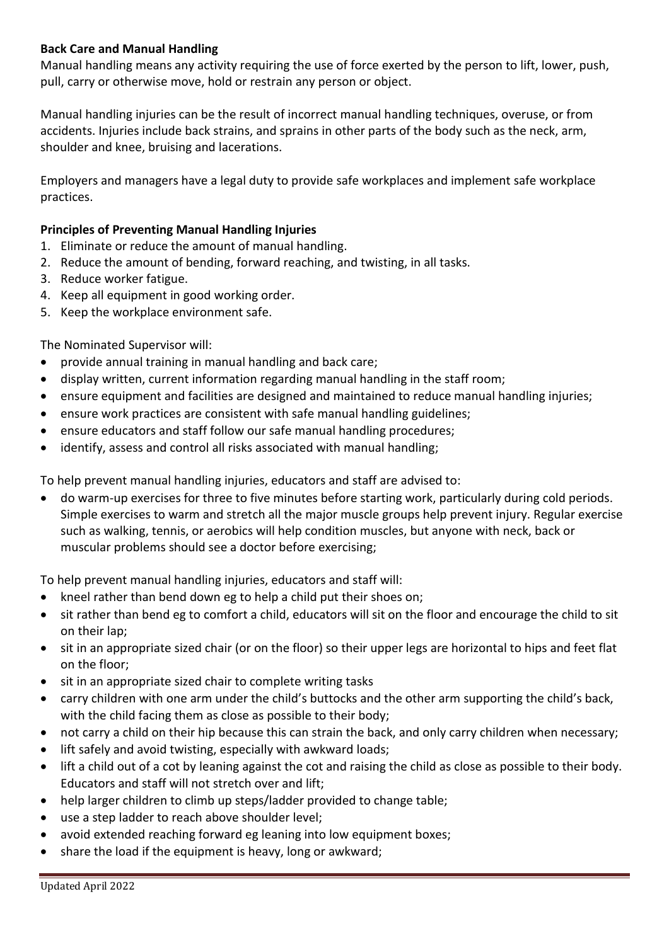### **Back Care and Manual Handling**

Manual handling means any activity requiring the use of force exerted by the person to lift, lower, push, pull, carry or otherwise move, hold or restrain any person or object.

Manual handling injuries can be the result of incorrect manual handling techniques, overuse, or from accidents. Injuries include back strains, and sprains in other parts of the body such as the neck, arm, shoulder and knee, bruising and lacerations.

Employers and managers have a legal duty to provide safe workplaces and implement safe workplace practices.

#### **Principles of Preventing Manual Handling Injuries**

- 1. Eliminate or reduce the amount of manual handling.
- 2. Reduce the amount of bending, forward reaching, and twisting, in all tasks.
- 3. Reduce worker fatigue.
- 4. Keep all equipment in good working order.
- 5. Keep the workplace environment safe.

#### The Nominated Supervisor will:

- provide annual training in manual handling and back care;
- display written, current information regarding manual handling in the staff room;
- ensure equipment and facilities are designed and maintained to reduce manual handling injuries;
- ensure work practices are consistent with safe manual handling guidelines;
- ensure educators and staff follow our safe manual handling procedures;
- identify, assess and control all risks associated with manual handling;

To help prevent manual handling injuries, educators and staff are advised to:

• do warm-up exercises for three to five minutes before starting work, particularly during cold periods. Simple exercises to warm and stretch all the major muscle groups help prevent injury. Regular exercise such as walking, tennis, or aerobics will help condition muscles, but anyone with neck, back or muscular problems should see a doctor before exercising;

To help prevent manual handling injuries, educators and staff will:

- kneel rather than bend down eg to help a child put their shoes on;
- sit rather than bend eg to comfort a child, educators will sit on the floor and encourage the child to sit on their lap;
- sit in an appropriate sized chair (or on the floor) so their upper legs are horizontal to hips and feet flat on the floor;
- sit in an appropriate sized chair to complete writing tasks
- carry children with one arm under the child's buttocks and the other arm supporting the child's back, with the child facing them as close as possible to their body;
- not carry a child on their hip because this can strain the back, and only carry children when necessary;
- lift safely and avoid twisting, especially with awkward loads;
- lift a child out of a cot by leaning against the cot and raising the child as close as possible to their body. Educators and staff will not stretch over and lift;
- help larger children to climb up steps/ladder provided to change table;
- use a step ladder to reach above shoulder level;
- avoid extended reaching forward eg leaning into low equipment boxes;
- share the load if the equipment is heavy, long or awkward;